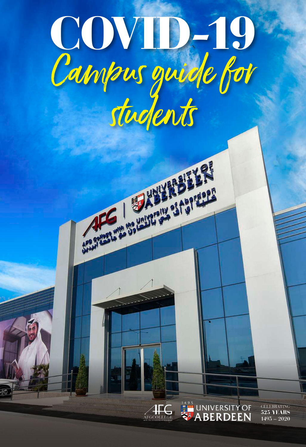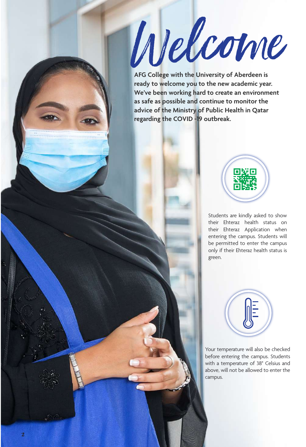Wel<sup>c</sup>om<sup>e</sup>

**AFG College with the University of Aberdeen is ready to welcome you to the new academic year. We've been working hard to create an environment as safe as possible and continue to monitor the advice of the Ministry of Public Health in Qatar regarding the COVID -19 outbreak.**



Students are kindly asked to show their Ehteraz health status on their Ehteraz Application when entering the campus. Students will be permitted to enter the campus only if their Ehteraz health status is green.

Your temperature will also be checked before entering the campus. Students with a temperature of 38° Celsius and above, will not be allowed to enter the campus.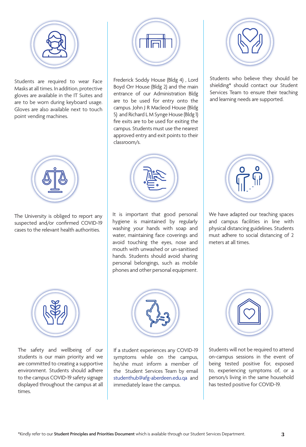

Students are required to wear Face Masks at all times. In addition, protective gloves are available in the IT Suites and are to be worn during keyboard usage. Gloves are also available next to touch point vending machines.



The University is obliged to report any suspected and/or confirmed COVID-19 cases to the relevant health authorities.



The safety and wellbeing of our students is our main priority and we are committed to creating a supportive environment. Students should adhere to the campus COVID-19 safety signage displayed throughout the campus at all times.



Frederick Soddy House (Bldg 4) , Lord Boyd Orr House (Bldg 2) and the main entrance of our Administration Bldg are to be used for entry onto the campus. John J R Macleod House (Bldg 5) and Richard L M Synge House (Bldg 1) fire exits are to be used for exiting the campus. Students must use the nearest approved entry and exit points to their classroom/s.



It is important that good personal hygiene is maintained by regularly washing your hands with soap and water, maintaining face coverings and avoid touching the eyes, nose and mouth with unwashed or un-sanitised hands. Students should avoid sharing personal belongings, such as mobile phones and other personal equipment.



If a student experiences any COVID-19 symptoms while on the campus, he/she must inform a member of the Student Services Team by email studenthub@afg-aberdeen.edu.qa and immediately leave the campus.



Students who believe they should be shielding\* should contact our Student Services Team to ensure their teaching and learning needs are supported.



We have adapted our teaching spaces and campus facilities in line with physical distancing guidelines. Students must adhere to social distancing of 2 meters at all times.



Students will not be required to attend on-campus sessions in the event of being tested positive for, exposed to, experiencing symptoms of, or a person/s living in the same household has tested positive for COVID-19.